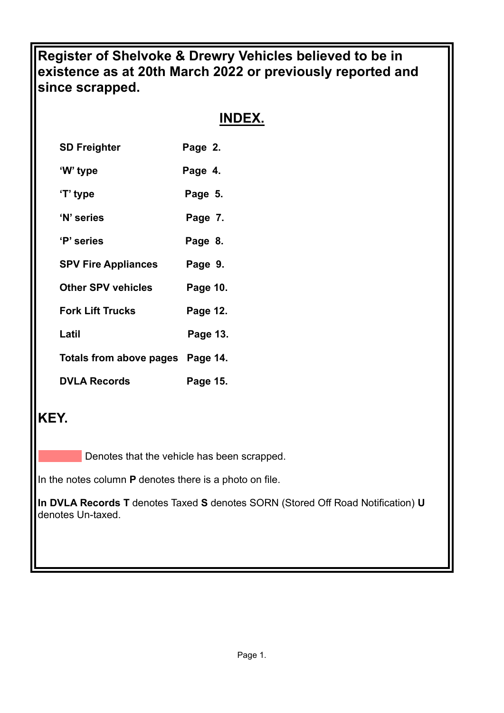**Register of Shelvoke & Drewry Vehicles believed to be in existence as at 20th March 2022 or previously reported and since scrapped.**

# **INDEX.**

| <b>SD Freighter</b>        | Page 2.  |
|----------------------------|----------|
| 'W' type                   | Page 4.  |
| 'T' type                   | Page 5.  |
| 'N' series                 | Page 7.  |
| 'P' series                 | Page 8.  |
| <b>SPV Fire Appliances</b> | Page 9.  |
| <b>Other SPV vehicles</b>  | Page 10. |
| <b>Fork Lift Trucks</b>    | Page 12. |
| Latil                      | Page 13. |
| Totals from above pages    | Page 14. |
| <b>DVLA Records</b>        | Page 15. |

# **KEY.**

Denotes that the vehicle has been scrapped.

In the notes column **P** denotes there is a photo on file.

**In DVLA Records T** denotes Taxed **S** denotes SORN (Stored Off Road Notification) **U** denotes Un-taxed.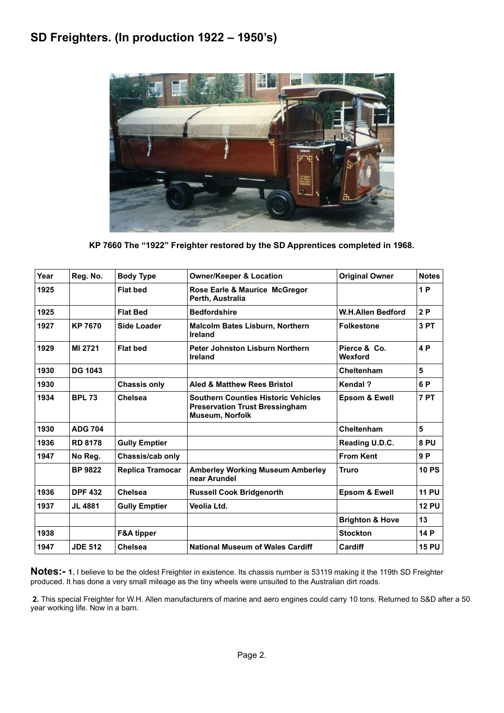# **SD Freighters. (In production 1922 – 1950's)**



**KP 7660 The "1922" Freighter restored by the SD Apprentices completed in 1968.**

| Year | Reg. No.       | <b>Body Type</b>        | <b>Owner/Keeper &amp; Location</b>                                                                            | <b>Original Owner</b>      | <b>Notes</b> |
|------|----------------|-------------------------|---------------------------------------------------------------------------------------------------------------|----------------------------|--------------|
| 1925 |                | <b>Flat bed</b>         | Rose Earle & Maurice McGregor<br>Perth, Australia                                                             |                            | 1P           |
| 1925 |                | <b>Flat Bed</b>         | <b>Bedfordshire</b>                                                                                           | <b>W.H.Allen Bedford</b>   | 2P           |
| 1927 | <b>KP 7670</b> | <b>Side Loader</b>      | <b>Malcolm Bates Lisburn, Northern</b><br>Ireland                                                             | <b>Folkestone</b>          | 3 PT         |
| 1929 | MI 2721        | <b>Flat bed</b>         | Peter Johnston Lisburn Northern<br>Ireland                                                                    | Pierce & Co.<br>Wexford    | 4 P          |
| 1930 | <b>DG 1043</b> |                         |                                                                                                               | Cheltenham                 | 5            |
| 1930 |                | <b>Chassis only</b>     | <b>Aled &amp; Matthew Rees Bristol</b>                                                                        | <b>Kendal?</b>             | 6 P          |
| 1934 | <b>BPL 73</b>  | <b>Chelsea</b>          | <b>Southern Counties Historic Vehicles</b><br><b>Preservation Trust Bressingham</b><br><b>Museum, Norfolk</b> | <b>Epsom &amp; Ewell</b>   | 7 PT         |
| 1930 | <b>ADG 704</b> |                         |                                                                                                               | Cheltenham                 | 5            |
| 1936 | <b>RD 8178</b> | <b>Gully Emptier</b>    |                                                                                                               | Reading U.D.C.             | 8 PU         |
| 1947 | No Reg.        | Chassis/cab only        |                                                                                                               | <b>From Kent</b>           | 9P           |
|      | <b>BP 9822</b> | <b>Replica Tramocar</b> | <b>Amberley Working Museum Amberley</b><br>near Arundel                                                       | <b>Truro</b>               | <b>10 PS</b> |
| 1936 | <b>DPF 432</b> | Chelsea                 | <b>Russell Cook Bridgenorth</b>                                                                               | <b>Epsom &amp; Ewell</b>   | <b>11 PU</b> |
| 1937 | <b>JL 4881</b> | <b>Gully Emptier</b>    | Veolia Ltd.                                                                                                   |                            | <b>12 PU</b> |
|      |                |                         |                                                                                                               | <b>Brighton &amp; Hove</b> | 13           |
| 1938 |                | <b>F&amp;A tipper</b>   |                                                                                                               | <b>Stockton</b>            | 14 P         |
| 1947 | <b>JDE 512</b> | <b>Chelsea</b>          | <b>National Museum of Wales Cardiff</b>                                                                       | Cardiff                    | <b>15 PU</b> |

**Notes:- 1.** I believe to be the oldest Freighter in existence. Its chassis number is 53119 making it the 119th SD Freighter produced. It has done a very small mileage as the tiny wheels were unsuited to the Australian dirt roads.

**2.** This special Freighter for W.H. Allen manufacturers of marine and aero engines could carry 10 tons. Returned to S&D after a 50 year working life. Now in a barn.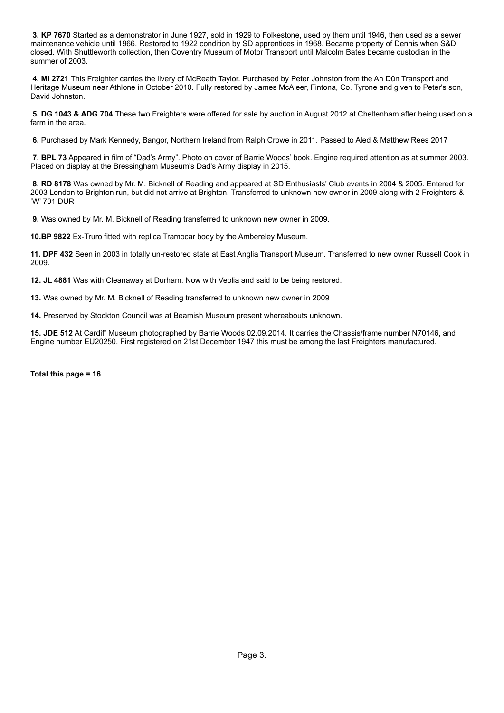**3. KP 7670** Started as a demonstrator in June 1927, sold in 1929 to Folkestone, used by them until 1946, then used as a sewer maintenance vehicle until 1966. Restored to 1922 condition by SD apprentices in 1968. Became property of Dennis when S&D closed. With Shuttleworth collection, then Coventry Museum of Motor Transport until Malcolm Bates became custodian in the summer of 2003.

**4. MI 2721** This Freighter carries the livery of McReath Taylor. Purchased by Peter Johnston from the An Dûn Transport and Heritage Museum near Athlone in October 2010. Fully restored by James McAleer, Fintona, Co. Tyrone and given to Peter's son, David Johnston.

**5. DG 1043 & ADG 704** These two Freighters were offered for sale by auction in August 2012 at Cheltenham after being used on a farm in the area.

**6.** Purchased by Mark Kennedy, Bangor, Northern Ireland from Ralph Crowe in 2011. Passed to Aled & Matthew Rees 2017

**7. BPL 73** Appeared in film of "Dad's Army". Photo on cover of Barrie Woods' book. Engine required attention as at summer 2003. Placed on display at the Bressingham Museum's Dad's Army display in 2015.

**8. RD 8178** Was owned by Mr. M. Bicknell of Reading and appeared at SD Enthusiasts' Club events in 2004 & 2005. Entered for 2003 London to Brighton run, but did not arrive at Brighton. Transferred to unknown new owner in 2009 along with 2 Freighters & 'W' 701 DUR

**9.** Was owned by Mr. M. Bicknell of Reading transferred to unknown new owner in 2009.

**10.BP 9822** Ex-Truro fitted with replica Tramocar body by the Ambereley Museum.

**11. DPF 432** Seen in 2003 in totally un-restored state at East Anglia Transport Museum. Transferred to new owner Russell Cook in 2009.

**12. JL 4881** Was with Cleanaway at Durham. Now with Veolia and said to be being restored.

**13.** Was owned by Mr. M. Bicknell of Reading transferred to unknown new owner in 2009

**14.** Preserved by Stockton Council was at Beamish Museum present whereabouts unknown.

**15. JDE 512** At Cardiff Museum photographed by Barrie Woods 02.09.2014. It carries the Chassis/frame number N70146, and Engine number EU20250. First registered on 21st December 1947 this must be among the last Freighters manufactured.

**Total this page = 16**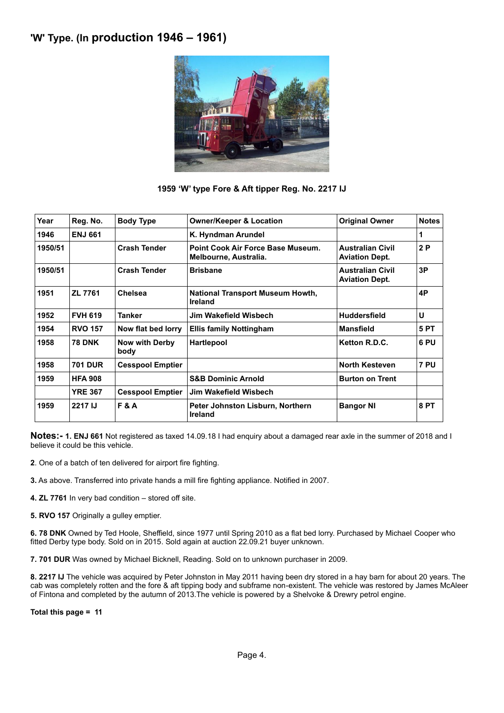## **'W' Type. (In production 1946 – 1961)**



### **1959 'W' type Fore & Aft tipper Reg. No. 2217 IJ**

| Year    | Reg. No.       | <b>Body Type</b>              | <b>Owner/Keeper &amp; Location</b>                         | <b>Original Owner</b>                            | <b>Notes</b> |
|---------|----------------|-------------------------------|------------------------------------------------------------|--------------------------------------------------|--------------|
| 1946    | <b>ENJ 661</b> |                               | K. Hyndman Arundel                                         |                                                  | 1            |
| 1950/51 |                | <b>Crash Tender</b>           | Point Cook Air Force Base Museum.<br>Melbourne, Australia. | <b>Australian Civil</b><br><b>Aviation Dept.</b> | 2P           |
| 1950/51 |                | <b>Crash Tender</b>           | <b>Brisbane</b>                                            | <b>Australian Civil</b><br><b>Aviation Dept.</b> | 3P           |
| 1951    | ZL 7761        | <b>Chelsea</b>                | <b>National Transport Museum Howth,</b><br><b>Ireland</b>  |                                                  | 4P           |
| 1952    | <b>FVH 619</b> | Tanker                        | Jim Wakefield Wisbech                                      | <b>Huddersfield</b>                              | U            |
| 1954    | <b>RVO 157</b> | Now flat bed lorry            | <b>Ellis family Nottingham</b>                             | <b>Mansfield</b>                                 | <b>5 PT</b>  |
| 1958    | <b>78 DNK</b>  | <b>Now with Derby</b><br>body | <b>Hartlepool</b>                                          | Ketton R.D.C.                                    | 6 PU         |
| 1958    | <b>701 DUR</b> | <b>Cesspool Emptier</b>       |                                                            | <b>North Kesteven</b>                            | 7 PU         |
| 1959    | <b>HFA 908</b> |                               | <b>S&amp;B Dominic Arnold</b>                              | <b>Burton on Trent</b>                           |              |
|         | <b>YRE 367</b> | <b>Cesspool Emptier</b>       | Jim Wakefield Wisbech                                      |                                                  |              |
| 1959    | 2217 IJ        | F&A                           | Peter Johnston Lisburn, Northern<br><b>Ireland</b>         | <b>Bangor NI</b>                                 | 8 PT         |

**Notes:- 1. ENJ 661** Not registered as taxed 14.09.18 I had enquiry about a damaged rear axle in the summer of 2018 and I believe it could be this vehicle.

**2**. One of a batch of ten delivered for airport fire fighting.

- **3.** As above. Transferred into private hands a mill fire fighting appliance. Notified in 2007.
- **4. ZL 7761** In very bad condition stored off site.
- **5. RVO 157** Originally a gulley emptier.

**6. 78 DNK** Owned by Ted Hoole, Sheffield, since 1977 until Spring 2010 as a flat bed lorry. Purchased by Michael Cooper who fitted Derby type body. Sold on in 2015. Sold again at auction 22.09.21 buyer unknown.

**7. 701 DUR** Was owned by Michael Bicknell, Reading. Sold on to unknown purchaser in 2009.

**8. 2217 IJ** The vehicle was acquired by Peter Johnston in May 2011 having been dry stored in a hay barn for about 20 years. The cab was completely rotten and the fore & aft tipping body and subframe non-existent. The vehicle was restored by James McAleer of Fintona and completed by the autumn of 2013.The vehicle is powered by a Shelvoke & Drewry petrol engine.

**Total this page = 11**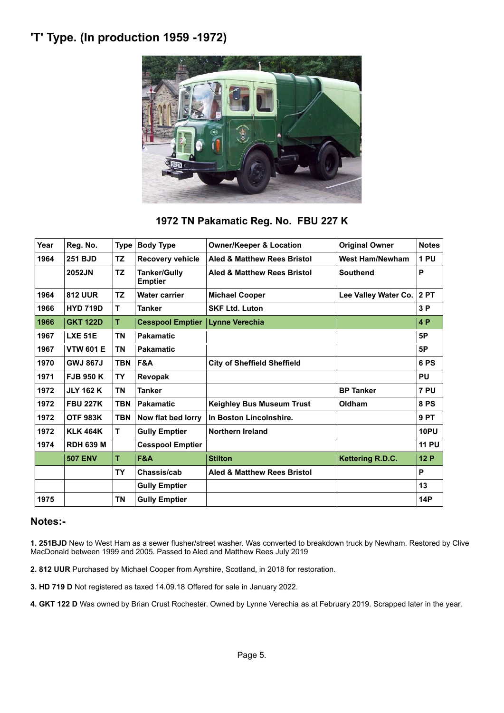# **'T' Type. (In production 1959 -1972)**



## **1972 TN Pakamatic Reg. No. FBU 227 K**

| Year | Reg. No.         | <b>Type</b> | <b>Body Type</b>                      | <b>Owner/Keeper &amp; Location</b>     | <b>Original Owner</b>  | <b>Notes</b> |
|------|------------------|-------------|---------------------------------------|----------------------------------------|------------------------|--------------|
| 1964 | <b>251 BJD</b>   | <b>TZ</b>   | Recovery vehicle                      | <b>Aled &amp; Matthew Rees Bristol</b> | <b>West Ham/Newham</b> | 1 PU         |
|      | 2052JN           | <b>TZ</b>   | <b>Tanker/Gully</b><br><b>Emptier</b> | Aled & Matthew Rees Bristol            | <b>Southend</b>        | P            |
| 1964 | <b>812 UUR</b>   | <b>TZ</b>   | <b>Water carrier</b>                  | <b>Michael Cooper</b>                  | Lee Valley Water Co.   | <b>2PT</b>   |
| 1966 | <b>HYD 719D</b>  | т           | <b>Tanker</b>                         | <b>SKF Ltd. Luton</b>                  |                        | 3P           |
| 1966 | <b>GKT 122D</b>  | т           | <b>Cesspool Emptier</b>               | <b>Lynne Verechia</b>                  |                        | 4P           |
| 1967 | <b>LXE 51E</b>   | <b>TN</b>   | <b>Pakamatic</b>                      |                                        |                        | 5P           |
| 1967 | <b>VTW 601 E</b> | ΤN          | <b>Pakamatic</b>                      |                                        |                        | 5P           |
| 1970 | <b>GWJ 867J</b>  | <b>TBN</b>  | F&A                                   | <b>City of Sheffield Sheffield</b>     |                        | 6PS          |
| 1971 | <b>FJB 950 K</b> | TΥ          | Revopak                               |                                        |                        | <b>PU</b>    |
| 1972 | <b>JLY 162 K</b> | <b>TN</b>   | <b>Tanker</b>                         |                                        | <b>BP Tanker</b>       | 7 PU         |
| 1972 | <b>FBU 227K</b>  | <b>TBN</b>  | <b>Pakamatic</b>                      | <b>Keighley Bus Museum Trust</b>       | Oldham                 | 8 PS         |
| 1972 | <b>OTF 983K</b>  | <b>TBN</b>  | Now flat bed lorry                    | In Boston Lincolnshire.                |                        | 9PT          |
| 1972 | <b>KLK 464K</b>  | т           | <b>Gully Emptier</b>                  | <b>Northern Ireland</b>                |                        | <b>10PU</b>  |
| 1974 | <b>RDH 639 M</b> |             | <b>Cesspool Emptier</b>               |                                        |                        | <b>11 PU</b> |
|      | <b>507 ENV</b>   | т           | <b>F&amp;A</b>                        | <b>Stilton</b>                         | Kettering R.D.C.       | 12P          |
|      |                  | <b>TY</b>   | Chassis/cab                           | <b>Aled &amp; Matthew Rees Bristol</b> |                        | P            |
|      |                  |             | <b>Gully Emptier</b>                  |                                        |                        | 13           |
| 1975 |                  | <b>TN</b>   | <b>Gully Emptier</b>                  |                                        |                        | <b>14P</b>   |

### **Notes:-**

**1. 251BJD** New to West Ham as a sewer flusher/street washer. Was converted to breakdown truck by Newham. Restored by Clive MacDonald between 1999 and 2005. Passed to Aled and Matthew Rees July 2019

**2. 812 UUR** Purchased by Michael Cooper from Ayrshire, Scotland, in 2018 for restoration.

**3. HD 719 D** Not registered as taxed 14.09.18 Offered for sale in January 2022.

**4. GKT 122 D** Was owned by Brian Crust Rochester. Owned by Lynne Verechia as at February 2019. Scrapped later in the year.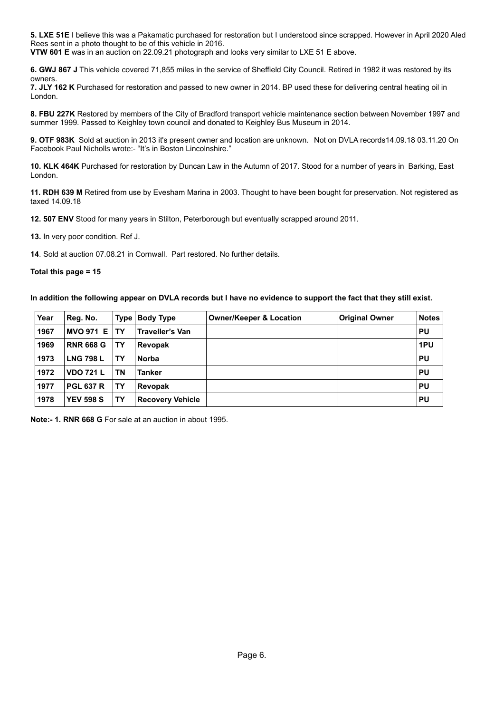**5. LXE 51E** I believe this was a Pakamatic purchased for restoration but I understood since scrapped. However in April 2020 Aled Rees sent in a photo thought to be of this vehicle in 2016.

**VTW 601 E** was in an auction on 22.09.21 photograph and looks very similar to LXE 51 E above.

**6. GWJ 867 J** This vehicle covered 71,855 miles in the service of Sheffield City Council. Retired in 1982 it was restored by its owners.

**7. JLY 162 K** Purchased for restoration and passed to new owner in 2014. BP used these for delivering central heating oil in London.

**8. FBU 227K** Restored by members of the City of Bradford transport vehicle maintenance section between November 1997 and summer 1999. Passed to Keighley town council and donated to Keighley Bus Museum in 2014.

**9. OTF 983K** Sold at auction in 2013 it's present owner and location are unknown. Not on DVLA records14.09.18 03.11.20 On Facebook [Paul Nicholls](https://www.facebook.com/groups/1123138187698493/user/100011343026549/?__cft__%5b0%5d=AZX8J1dfkeKzxMIVyS4LYtmtf8eeRhbqONXBFBdnwjcGfUgwETvM8DDtldiFkxDXGlqJJw5-sFzVUtlNNBggAq1JM-bxJ7Zzicj-pZWiULbUHHnaVh6boK9ykBpE-64zKT9acXifcLr-kGVRUMfkyyTKDdypzoJl4E2fKUR7bImSuRukSy1n969aynjdeSYkPh3hG28d3iVC_3gbdThH2UQ3&__tn__=R*F) wrote:- "It's in Boston Lincolnshire."

**10. KLK 464K** Purchased for restoration by Duncan Law in the Autumn of 2017. Stood for a number of years in Barking, East London.

**11. RDH 639 M** Retired from use by Evesham Marina in 2003. Thought to have been bought for preservation. Not registered as taxed 14.09.18

**12. 507 ENV** Stood for many years in Stilton, Peterborough but eventually scrapped around 2011.

**13.** In very poor condition. Ref J.

**14**. Sold at auction 07.08.21 in Cornwall. Part restored. No further details.

#### **Total this page = 15**

#### **In addition the following appear on DVLA records but I have no evidence to support the fact that they still exist.**

| Year | Reg. No.         | <b>Type</b> | <b>Body Type</b>        | <b>Owner/Keeper &amp; Location</b> | <b>Original Owner</b> | <b>Notes</b> |
|------|------------------|-------------|-------------------------|------------------------------------|-----------------------|--------------|
| 1967 | <b>MVO 971 E</b> | TΥ          | Traveller's Van         |                                    |                       | PU           |
| 1969 | <b>RNR 668 G</b> | TΥ          | Revopak                 |                                    |                       | 1PU          |
| 1973 | <b>LNG 798 L</b> | TΥ          | <b>Norba</b>            |                                    |                       | PU           |
| 1972 | <b>VDO 721 L</b> | <b>TN</b>   | Tanker                  |                                    |                       | PU           |
| 1977 | <b>PGL 637 R</b> | TY          | Revopak                 |                                    |                       | <b>PU</b>    |
| 1978 | <b>YEV 598 S</b> | TΥ          | <b>Recovery Vehicle</b> |                                    |                       | PU           |

**Note:- 1. RNR 668 G** For sale at an auction in about 1995.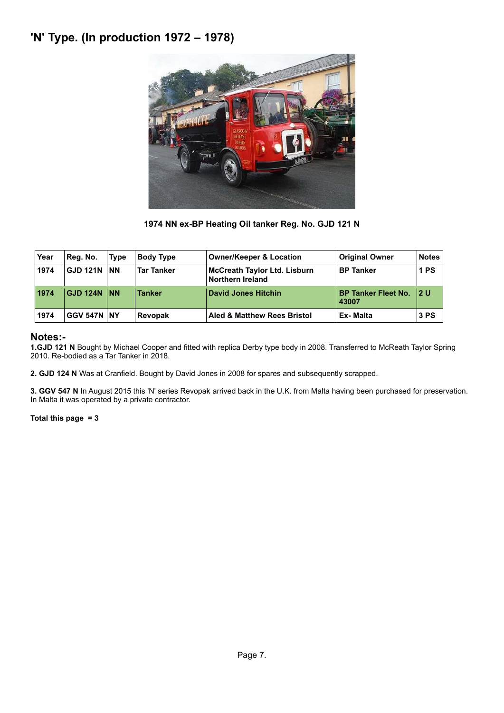# **'N' Type. (In production 1972 – 1978)**



**1974 NN ex-BP Heating Oil tanker Reg. No. GJD 121 N**

| Year | Reg. No.           | <b>Type</b> | <b>Body Type</b>  | <b>Owner/Keeper &amp; Location</b>               | <b>Original Owner</b>               | <b>Notes</b> |
|------|--------------------|-------------|-------------------|--------------------------------------------------|-------------------------------------|--------------|
| 1974 | <b>GJD 121N NN</b> |             | <b>Tar Tanker</b> | McCreath Taylor Ltd. Lisburn<br>Northern Ireland | <b>BP Tanker</b>                    | 1 PS         |
| 1974 | <b>GJD 124N NN</b> |             | <b>Tanker</b>     | David Jones Hitchin                              | <b>BP Tanker Fleet No.</b><br>43007 | 12 U         |
| 1974 | <b>GGV 547N NY</b> |             | <b>Revopak</b>    | Aled & Matthew Rees Bristol                      | Ex-Malta                            | 3 PS         |

## **Notes:-**

**1.GJD 121 N** Bought by Michael Cooper and fitted with replica Derby type body in 2008. Transferred to McReath Taylor Spring 2010. Re-bodied as a Tar Tanker in 2018.

**2. GJD 124 N** Was at Cranfield. Bought by David Jones in 2008 for spares and subsequently scrapped.

**3. GGV 547 N** In August 2015 this 'N' series Revopak arrived back in the U.K. from Malta having been purchased for preservation. In Malta it was operated by a private contractor.

**Total this page = 3**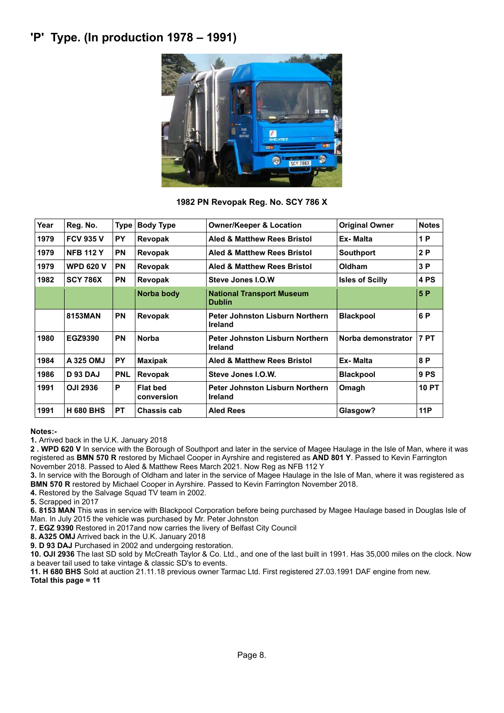## **'P' Type. (In production 1978 – 1991)**



**1982 PN Revopak Reg. No. SCY 786 X**

| Year | Reg. No.         | <b>Type</b> | <b>Body Type</b>              | <b>Owner/Keeper &amp; Location</b>                       | <b>Original Owner</b>  | <b>Notes</b> |
|------|------------------|-------------|-------------------------------|----------------------------------------------------------|------------------------|--------------|
| 1979 | <b>FCV 935 V</b> | <b>PY</b>   | Revopak                       | <b>Aled &amp; Matthew Rees Bristol</b>                   | Ex-Malta               | 1P           |
| 1979 | <b>NFB 112 Y</b> | <b>PN</b>   | Revopak                       | Aled & Matthew Rees Bristol                              | <b>Southport</b>       | 2P           |
| 1979 | <b>WPD 620 V</b> | <b>PN</b>   | Revopak                       | <b>Aled &amp; Matthew Rees Bristol</b>                   | Oldham                 | 3P           |
| 1982 | <b>SCY 786X</b>  | <b>PN</b>   | Revopak                       | Steve Jones I.O.W                                        | <b>Isles of Scilly</b> | 4 PS         |
|      |                  |             | Norba body                    | <b>National Transport Museum</b><br><b>Dublin</b>        |                        | 5 P          |
|      | 8153MAN          | <b>PN</b>   | Revopak                       | <b>Peter Johnston Lisburn Northern</b><br><b>Ireland</b> | <b>Blackpool</b>       | 6 P          |
| 1980 | EGZ9390          | PN          | <b>Norba</b>                  | Peter Johnston Lisburn Northern<br><b>Ireland</b>        | Norba demonstrator     | <b>7 PT</b>  |
| 1984 | A 325 OMJ        | <b>PY</b>   | <b>Maxipak</b>                | Aled & Matthew Rees Bristol                              | Ex-Malta               | 8 P          |
| 1986 | <b>D 93 DAJ</b>  | <b>PNL</b>  | Revopak                       | Steve Jones I.O.W.                                       | <b>Blackpool</b>       | 9 PS         |
| 1991 | <b>OJI 2936</b>  | P           | <b>Flat bed</b><br>conversion | <b>Peter Johnston Lisburn Northern</b><br><b>Ireland</b> | Omagh                  | <b>10 PT</b> |
| 1991 | <b>H 680 BHS</b> | <b>PT</b>   | <b>Chassis cab</b>            | <b>Aled Rees</b>                                         | Glasgow?               | 11P          |
|      |                  |             |                               |                                                          |                        |              |

**Notes:-**

**1.** Arrived back in the U.K. January 2018

**2 . WPD 620 V** In service with the Borough of Southport and later in the service of Magee Haulage in the Isle of Man, where it was registered as **BMN 570 R** restored by Michael Cooper in Ayrshire and registered as **AND 801 Y**. Passed to Kevin Farrington November 2018. Passed to Aled & Matthew Rees March 2021. Now Reg as NFB 112 Y

**3.** In service with the Borough of Oldham and later in the service of Magee Haulage in the Isle of Man, where it was registered as **BMN 570 R** restored by Michael Cooper in Ayrshire. Passed to Kevin Farrington November 2018.

**4.** Restored by the Salvage Squad TV team in 2002.

**5.** Scrapped in 2017

**6. 8153 MAN** This was in service with Blackpool Corporation before being purchased by Magee Haulage based in Douglas Isle of Man. In July 2015 the vehicle was purchased by Mr. Peter Johnston

**7. EGZ 9390** Restored in 2017and now carries the livery of Belfast City Council

**8. A325 OMJ** Arrived back in the U.K. January 2018

**9. D 93 DAJ** Purchased in 2002 and undergoing restoration.

**10. OJI 2936** The last SD sold by McCreath Taylor & Co. Ltd., and one of the last built in 1991. Has 35,000 miles on the clock. Now a beaver tail used to take vintage & classic SD's to events.

**11. H 680 BHS** Sold at auction 21.11.18 previous owner Tarmac Ltd. First registered 27.03.1991 DAF engine from new. **Total this page = 11**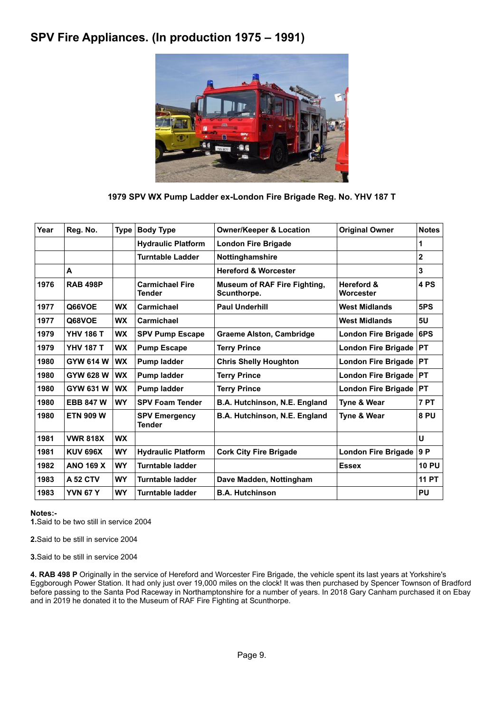## **SPV Fire Appliances. (In production 1975 – 1991)**



### **1979 SPV WX Pump Ladder ex-London Fire Brigade Reg. No. YHV 187 T**

| Year | Reg. No.         | <b>Type</b> | <b>Body Type</b>                        | <b>Owner/Keeper &amp; Location</b>                 | <b>Original Owner</b>              | <b>Notes</b>   |
|------|------------------|-------------|-----------------------------------------|----------------------------------------------------|------------------------------------|----------------|
|      |                  |             | <b>Hydraulic Platform</b>               | <b>London Fire Brigade</b>                         |                                    | 1              |
|      |                  |             | <b>Turntable Ladder</b>                 | Nottinghamshire                                    |                                    | $\overline{2}$ |
|      | A                |             |                                         | <b>Hereford &amp; Worcester</b>                    |                                    | 3              |
| 1976 | <b>RAB 498P</b>  |             | <b>Carmichael Fire</b><br><b>Tender</b> | <b>Museum of RAF Fire Fighting,</b><br>Scunthorpe. | <b>Hereford &amp;</b><br>Worcester | 4 PS           |
| 1977 | Q66VOE           | <b>WX</b>   | Carmichael                              | <b>Paul Underhill</b>                              | <b>West Midlands</b>               | 5PS            |
| 1977 | Q68VOE           | <b>WX</b>   | <b>Carmichael</b>                       |                                                    | <b>West Midlands</b>               | 5U             |
| 1979 | <b>YHV 186 T</b> | <b>WX</b>   | <b>SPV Pump Escape</b>                  | <b>Graeme Alston, Cambridge</b>                    | <b>London Fire Brigade</b>         | 6PS            |
| 1979 | <b>YHV 187 T</b> | <b>WX</b>   | <b>Pump Escape</b>                      | <b>Terry Prince</b>                                | London Fire Brigade PT             |                |
| 1980 | <b>GYW 614 W</b> | <b>WX</b>   | <b>Pump ladder</b>                      | <b>Chris Shelly Houghton</b>                       | London Fire Brigade                | <b>PT</b>      |
| 1980 | GYW 628 W        | <b>WX</b>   | Pump ladder                             | <b>Terry Prince</b>                                | London Fire Brigade                | <b>PT</b>      |
| 1980 | GYW 631 W        | <b>WX</b>   | <b>Pump ladder</b>                      | <b>Terry Prince</b>                                | London Fire Brigade   PT           |                |
| 1980 | <b>EBB 847 W</b> | <b>WY</b>   | <b>SPV Foam Tender</b>                  | B.A. Hutchinson, N.E. England                      | Tyne & Wear                        | <b>7 PT</b>    |
| 1980 | <b>ETN 909 W</b> |             | <b>SPV Emergency</b><br><b>Tender</b>   | B.A. Hutchinson, N.E. England                      | Tyne & Wear                        | 8 PU           |
| 1981 | <b>VWR 818X</b>  | <b>WX</b>   |                                         |                                                    |                                    | U              |
| 1981 | <b>KUV 696X</b>  | <b>WY</b>   | <b>Hydraulic Platform</b>               | <b>Cork City Fire Brigade</b>                      | London Fire Brigade                | 9 P            |
| 1982 | <b>ANO 169 X</b> | <b>WY</b>   | <b>Turntable ladder</b>                 |                                                    | <b>Essex</b>                       | <b>10 PU</b>   |
| 1983 | <b>A 52 CTV</b>  | <b>WY</b>   | <b>Turntable ladder</b>                 | Dave Madden, Nottingham                            |                                    | <b>11 PT</b>   |
| 1983 | <b>YVN 67 Y</b>  | <b>WY</b>   | Turntable ladder                        | <b>B.A. Hutchinson</b>                             |                                    | <b>PU</b>      |
|      |                  |             |                                         |                                                    |                                    |                |

#### **Notes:-**

**1.**Said to be two still in service 2004

**2.**Said to be still in service 2004

**3.**Said to be still in service 2004

**4. RAB 498 P** Originally in the service of Hereford and Worcester Fire Brigade, the vehicle spent its last years at Yorkshire's Eggborough Power Station. It had only just over 19,000 miles on the clock! It was then purchased by Spencer Townson of Bradford before passing to the Santa Pod Raceway in Northamptonshire for a number of years. In 2018 Gary Canham purchased it on Ebay and in 2019 he donated it to the Museum of RAF Fire Fighting at Scunthorpe.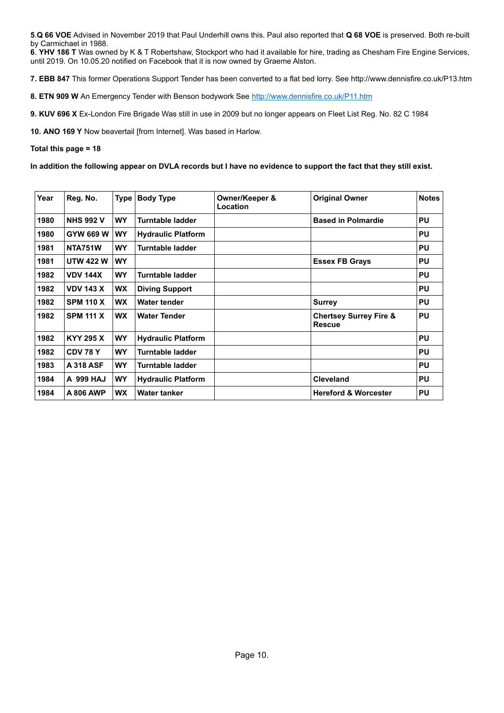**5**.**Q 66 VOE** Advised in November 2019 that Paul Underhill owns this. Paul also reported that **Q 68 VOE** is preserved. Both re-built by Carmichael in 1988.

**6**. **YHV 186 T** Was owned by K & T Robertshaw, Stockport who had it available for hire, trading as Chesham Fire Engine Services, until 2019. On 10.05.20 notified on Facebook that it is now owned by Graeme Alston.

**7. EBB 847** This former Operations Support Tender has been converted to a flat bed lorry. See http://www.dennisfire.co.uk/P13.htm

**8. ETN 909 W** An Emergency Tender with Benson bodywork See<http://www.dennisfire.co.uk/P11.htm>

**9. KUV 696 X** Ex-London Fire Brigade Was still in use in 2009 but no longer appears on Fleet List Reg. No. 82 C 1984

**10. ANO 169 Y** Now beavertail [from Internet]. Was based in Harlow.

#### **Total this page = 18**

**In addition the following appear on DVLA records but I have no evidence to support the fact that they still exist.**

| Year | Reg. No.         | <b>Type</b> | <b>Body Type</b>          | Owner/Keeper &<br>Location | <b>Original Owner</b>                              | <b>Notes</b> |
|------|------------------|-------------|---------------------------|----------------------------|----------------------------------------------------|--------------|
| 1980 | <b>NHS 992 V</b> | <b>WY</b>   | Turntable ladder          |                            | <b>Based in Polmardie</b>                          | <b>PU</b>    |
| 1980 | GYW 669 W        | <b>WY</b>   | <b>Hydraulic Platform</b> |                            |                                                    | <b>PU</b>    |
| 1981 | <b>NTA751W</b>   | <b>WY</b>   | Turntable ladder          |                            |                                                    | <b>PU</b>    |
| 1981 | <b>UTW 422 W</b> | <b>WY</b>   |                           |                            | <b>Essex FB Grays</b>                              | <b>PU</b>    |
| 1982 | <b>VDV 144X</b>  | <b>WY</b>   | Turntable ladder          |                            |                                                    | <b>PU</b>    |
| 1982 | <b>VDV 143 X</b> | <b>WX</b>   | <b>Diving Support</b>     |                            |                                                    | <b>PU</b>    |
| 1982 | <b>SPM 110 X</b> | <b>WX</b>   | Water tender              |                            | <b>Surrey</b>                                      | <b>PU</b>    |
| 1982 | <b>SPM 111 X</b> | <b>WX</b>   | <b>Water Tender</b>       |                            | <b>Chertsey Surrey Fire &amp;</b><br><b>Rescue</b> | <b>PU</b>    |
| 1982 | <b>KYY 295 X</b> | <b>WY</b>   | <b>Hydraulic Platform</b> |                            |                                                    | <b>PU</b>    |
| 1982 | CDV 78 Y         | <b>WY</b>   | Turntable ladder          |                            |                                                    | <b>PU</b>    |
| 1983 | <b>A 318 ASF</b> | <b>WY</b>   | Turntable ladder          |                            |                                                    | <b>PU</b>    |
| 1984 | <b>A 999 HAJ</b> | <b>WY</b>   | <b>Hydraulic Platform</b> |                            | <b>Cleveland</b>                                   | <b>PU</b>    |
| 1984 | A 806 AWP        | <b>WX</b>   | <b>Water tanker</b>       |                            | <b>Hereford &amp; Worcester</b>                    | <b>PU</b>    |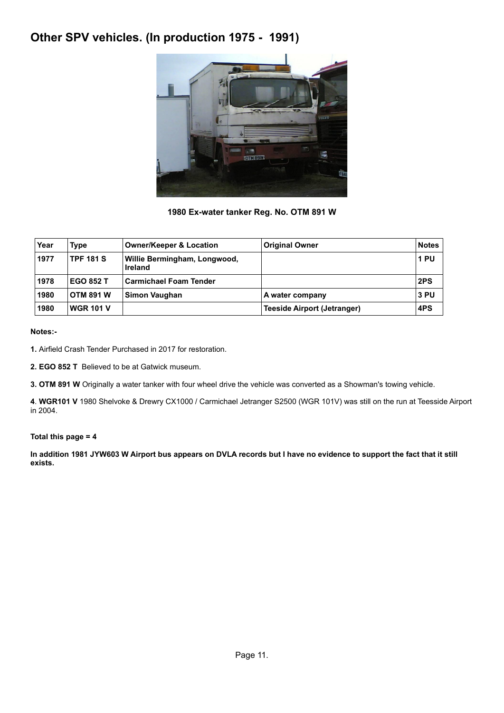# **Other SPV vehicles. (In production 1975 - 1991)**



### **1980 Ex-water tanker Reg. No. OTM 891 W**

| Year | Type             | <b>Owner/Keeper &amp; Location</b>             | <b>Original Owner</b>              | <b>Notes</b> |
|------|------------------|------------------------------------------------|------------------------------------|--------------|
| 1977 | <b>TPF 181 S</b> | Willie Bermingham, Longwood,<br><b>Ireland</b> |                                    | 1 PU         |
| 1978 | <b>EGO 852 T</b> | <b>Carmichael Foam Tender</b>                  |                                    | 2PS          |
| 1980 | <b>OTM 891 W</b> | Simon Vaughan                                  | A water company                    | 3 PU         |
| 1980 | <b>WGR 101 V</b> |                                                | <b>Teeside Airport (Jetranger)</b> | 4PS          |

**Notes:-**

**1.** Airfield Crash Tender Purchased in 2017 for restoration.

**2. EGO 852 T** Believed to be at Gatwick museum.

**3. OTM 891 W** Originally a water tanker with four wheel drive the vehicle was converted as a Showman's towing vehicle.

**4**. **WGR101 V** 1980 Shelvoke & Drewry CX1000 / Carmichael Jetranger S2500 (WGR 101V) was still on the run at Teesside Airport in 2004.

### **Total this page = 4**

**In addition 1981 JYW603 W Airport bus appears on DVLA records but I have no evidence to support the fact that it still exists.**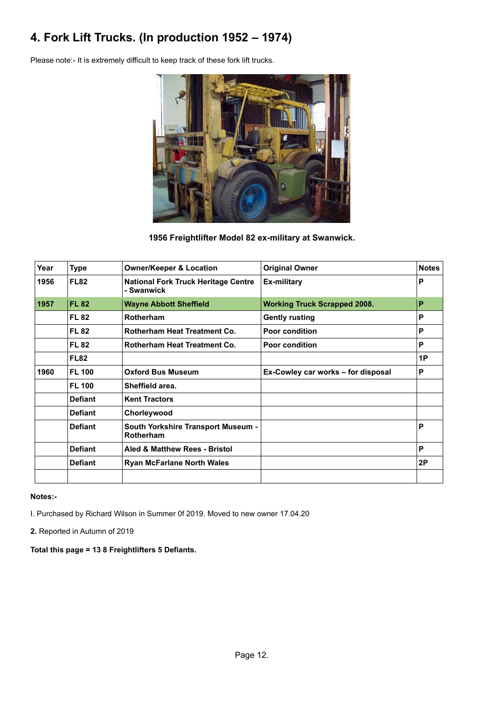# **4. Fork Lift Trucks. (In production 1952 – 1974)**

Please note:- It is extremely difficult to keep track of these fork lift trucks.



**1956 Freightlifter Model 82 ex-military at Swanwick.**

| Year | <b>Type</b>    | <b>Owner/Keeper &amp; Location</b>                       | <b>Original Owner</b>               | <b>Notes</b> |
|------|----------------|----------------------------------------------------------|-------------------------------------|--------------|
| 1956 | <b>FL82</b>    | <b>National Fork Truck Heritage Centre</b><br>- Swanwick | Ex-military                         | P            |
| 1957 | <b>FL 82</b>   | <b>Wayne Abbott Sheffield</b>                            | <b>Working Truck Scrapped 2008.</b> | P            |
|      | <b>FL 82</b>   | Rotherham                                                | <b>Gently rusting</b>               | P            |
|      | <b>FL 82</b>   | <b>Rotherham Heat Treatment Co.</b>                      | <b>Poor condition</b>               | P            |
|      | <b>FL 82</b>   | <b>Rotherham Heat Treatment Co.</b>                      | <b>Poor condition</b>               | P            |
|      | <b>FL82</b>    |                                                          |                                     | 1P           |
| 1960 | <b>FL 100</b>  | <b>Oxford Bus Museum</b>                                 | Ex-Cowley car works - for disposal  | P            |
|      | <b>FL 100</b>  | Sheffield area.                                          |                                     |              |
|      | <b>Defiant</b> | <b>Kent Tractors</b>                                     |                                     |              |
|      | <b>Defiant</b> | Chorleywood                                              |                                     |              |
|      | <b>Defiant</b> | <b>South Yorkshire Transport Museum -</b><br>Rotherham   |                                     | P            |
|      | <b>Defiant</b> | Aled & Matthew Rees - Bristol                            |                                     | P            |
|      | <b>Defiant</b> | <b>Ryan McFarlane North Wales</b>                        |                                     | 2P           |
|      |                |                                                          |                                     |              |

**Notes:-**

I. Purchased by Richard Wilson in Summer 0f 2019. Moved to new owner 17.04.20

**2.** Reported in Autumn of 2019

**Total this page = 13 8 Freightlifters 5 Defiants.**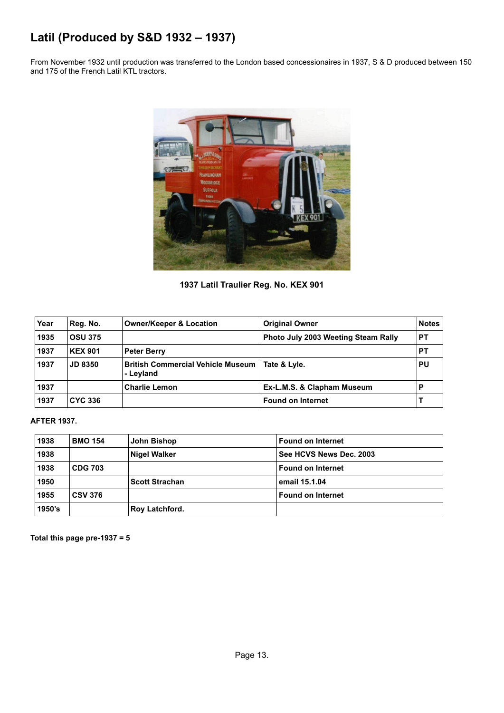# **Latil (Produced by S&D 1932 – 1937)**

From November 1932 until production was transferred to the London based concessionaires in 1937, S & D produced between 150 and 175 of the French Latil KTL tractors.



**1937 Latil Traulier Reg. No. KEX 901**

| Year | Reg. No.       | <b>Owner/Keeper &amp; Location</b>                    | <b>Original Owner</b>                      | <b>Notes</b> |
|------|----------------|-------------------------------------------------------|--------------------------------------------|--------------|
| 1935 | <b>OSU 375</b> |                                                       | <b>Photo July 2003 Weeting Steam Rally</b> | РT           |
| 1937 | <b>KEX 901</b> | <b>Peter Berry</b>                                    |                                            | РT           |
| 1937 | <b>JD 8350</b> | <b>British Commercial Vehicle Museum</b><br>- Levland | Tate & Lyle.                               | PU           |
| 1937 |                | <b>Charlie Lemon</b>                                  | Ex-L.M.S. & Clapham Museum                 |              |
| 1937 | <b>CYC 336</b> |                                                       | <b>Found on Internet</b>                   |              |

### **AFTER 1937.**

| 1938   | <b>BMO 154</b> | John Bishop           | <b>Found on Internet</b> |
|--------|----------------|-----------------------|--------------------------|
| 1938   |                | <b>Nigel Walker</b>   | See HCVS News Dec. 2003  |
| 1938   | <b>CDG 703</b> |                       | Found on Internet        |
| 1950   |                | <b>Scott Strachan</b> | email 15.1.04            |
| 1955   | <b>CSV 376</b> |                       | <b>Found on Internet</b> |
| 1950's |                | <b>Roy Latchford.</b> |                          |

**Total this page pre-1937 = 5**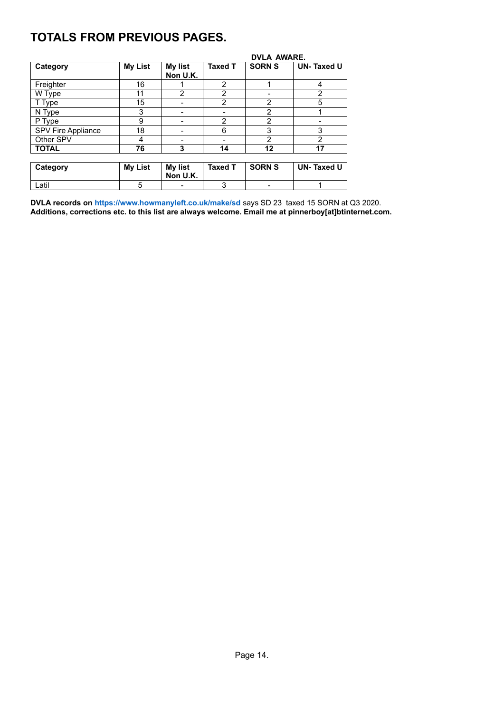# **TOTALS FROM PREVIOUS PAGES.**

|                    |                |                            |                | <b>DVLA AWARE.</b> |                   |  |  |
|--------------------|----------------|----------------------------|----------------|--------------------|-------------------|--|--|
| Category           | <b>My List</b> | My list<br>Non U.K.        | <b>Taxed T</b> | <b>SORN S</b>      | <b>UN-Taxed U</b> |  |  |
| Freighter          | 16             |                            | 2              |                    | 4                 |  |  |
| W Type             | 11             | $\overline{2}$             | 2              |                    | $\overline{2}$    |  |  |
| T Type             | 15             |                            | $\mathfrak{p}$ | $\overline{2}$     | 5                 |  |  |
| N Type             | 3              |                            |                | $\overline{2}$     |                   |  |  |
| P Type             | 9              |                            | $\mathcal{P}$  | $\overline{2}$     |                   |  |  |
| SPV Fire Appliance | 18             |                            | 6              | 3                  | 3                 |  |  |
| Other SPV          | 4              |                            |                | $\mathfrak{p}$     | $\mathfrak{p}$    |  |  |
| <b>TOTAL</b>       | 76             | 3                          | 14             | 12                 | 17                |  |  |
|                    |                |                            |                |                    |                   |  |  |
| Category           | <b>My List</b> | <b>My list</b><br>Non U.K. | <b>Taxed T</b> | <b>SORN S</b>      | <b>UN-Taxed U</b> |  |  |
| Latil              | 5              |                            | 3              |                    |                   |  |  |

**DVLA records o[n https://www.howmanyleft.co.uk/make/sd](https://www.howmanyleft.co.uk/make/sd)** says SD 23 taxed 15 SORN at Q3 2020. **Additions, corrections etc. to this list are always welcome. Email me at pinnerboy[at]btinternet.com.**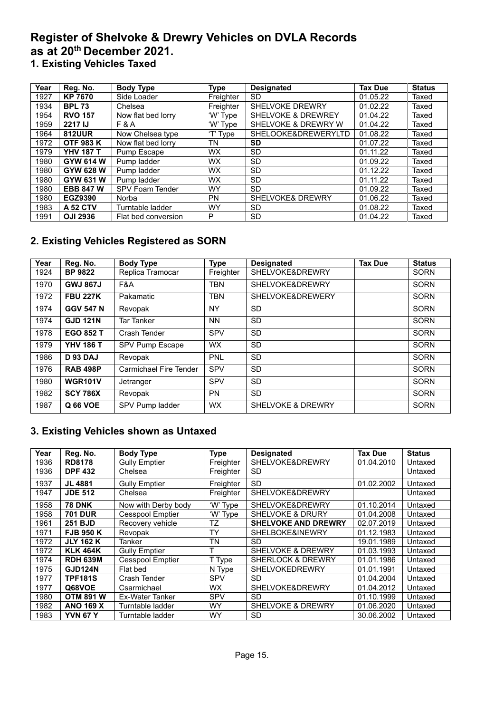## **Register of Shelvoke & Drewry Vehicles on DVLA Records as at 20th December 2021. 1. Existing Vehicles Taxed**

| Year | Reg. No.         | <b>Body Type</b>    | <b>Type</b> | <b>Designated</b>             | <b>Tax Due</b> | <b>Status</b> |
|------|------------------|---------------------|-------------|-------------------------------|----------------|---------------|
| 1927 | <b>KP 7670</b>   | Side Loader         | Freighter   | <b>SD</b>                     | 01.05.22       | Taxed         |
| 1934 | <b>BPL 73</b>    | Chelsea             | Freighter   | <b>SHELVOKE DREWRY</b>        | 01.02.22       | Taxed         |
| 1954 | <b>RVO 157</b>   | Now flat bed lorry  | 'W' Type    | <b>SHELVOKE &amp; DREWREY</b> | 01.04.22       | Taxed         |
| 1959 | 2217 IJ          | <b>F&amp;A</b>      | 'W' Type    | SHELVOKE & DREWRY W           | 01.04.22       | Taxed         |
| 1964 | <b>812UUR</b>    | Now Chelsea type    | $T$ Type    | SHELOOKE&DREWERYLTD           | 01.08.22       | Taxed         |
| 1972 | <b>OTF 983 K</b> | Now flat bed lorry  | TN          | <b>SD</b>                     | 01.07.22       | Taxed         |
| 1979 | <b>YHV 187 T</b> | Pump Escape         | <b>WX</b>   | <b>SD</b>                     | 01.11.22       | Taxed         |
| 1980 | GYW 614 W        | Pump ladder         | <b>WX</b>   | <b>SD</b>                     | 01.09.22       | Taxed         |
| 1980 | GYW 628 W        | Pump ladder         | <b>WX</b>   | <b>SD</b>                     | 01.12.22       | Taxed         |
| 1980 | GYW 631 W        | Pump ladder         | <b>WX</b>   | <b>SD</b>                     | 01.11.22       | Taxed         |
| 1980 | <b>EBB 847 W</b> | SPV Foam Tender     | <b>WY</b>   | <b>SD</b>                     | 01.09.22       | Taxed         |
| 1980 | EGZ9390          | Norba               | <b>PN</b>   | <b>SHELVOKE&amp; DREWRY</b>   | 01.06.22       | Taxed         |
| 1983 | <b>A 52 CTV</b>  | Turntable ladder    | <b>WY</b>   | <b>SD</b>                     | 01.08.22       | Taxed         |
| 1991 | <b>OJI 2936</b>  | Flat bed conversion | P           | <b>SD</b>                     | 01.04.22       | Taxed         |

## **2. Existing Vehicles Registered as SORN**

| Year | Reg. No.         | <b>Body Type</b>       | <b>Type</b> | <b>Designated</b>            | <b>Tax Due</b> | <b>Status</b> |
|------|------------------|------------------------|-------------|------------------------------|----------------|---------------|
| 1924 | <b>BP 9822</b>   | Replica Tramocar       | Freighter   | SHELVOKE&DREWRY              |                | <b>SORN</b>   |
| 1970 | <b>GWJ 867J</b>  | F&A                    | <b>TBN</b>  | <b>SHELVOKE&amp;DREWRY</b>   |                | <b>SORN</b>   |
| 1972 | <b>FBU 227K</b>  | Pakamatic              | <b>TBN</b>  | <b>SHELVOKE&amp;DREWERY</b>  |                | <b>SORN</b>   |
| 1974 | <b>GGV 547 N</b> | Revopak                | NY          | <b>SD</b>                    |                | <b>SORN</b>   |
| 1974 | <b>GJD 121N</b>  | <b>Tar Tanker</b>      | <b>NN</b>   | <b>SD</b>                    |                | <b>SORN</b>   |
| 1978 | <b>EGO 852 T</b> | Crash Tender           | SPV         | <b>SD</b>                    |                | <b>SORN</b>   |
| 1979 | <b>YHV 186 T</b> | SPV Pump Escape        | <b>WX</b>   | <b>SD</b>                    |                | <b>SORN</b>   |
| 1986 | <b>D 93 DAJ</b>  | Revopak                | PNL         | <b>SD</b>                    |                | <b>SORN</b>   |
| 1976 | <b>RAB 498P</b>  | Carmichael Fire Tender | <b>SPV</b>  | <b>SD</b>                    |                | <b>SORN</b>   |
| 1980 | <b>WGR101V</b>   | Jetranger              | <b>SPV</b>  | <b>SD</b>                    |                | <b>SORN</b>   |
| 1982 | <b>SCY 786X</b>  | Revopak                | PN          | <b>SD</b>                    |                | <b>SORN</b>   |
| 1987 | Q 66 VOE         | SPV Pump ladder        | <b>WX</b>   | <b>SHELVOKE &amp; DREWRY</b> |                | <b>SORN</b>   |

## **3. Existing Vehicles shown as Untaxed**

| Year | Reg. No.         | <b>Body Type</b>        | <b>Type</b> | <b>Designated</b>            | <b>Tax Due</b> | <b>Status</b> |
|------|------------------|-------------------------|-------------|------------------------------|----------------|---------------|
| 1936 | <b>RD8178</b>    | <b>Gully Emptier</b>    | Freighter   | SHELVOKE&DREWRY              | 01.04.2010     | Untaxed       |
| 1936 | <b>DPF 432</b>   | Chelsea                 | Freighter   | <b>SD</b>                    |                | Untaxed       |
| 1937 | <b>JL 4881</b>   | <b>Gully Emptier</b>    | Freighter   | <b>SD</b>                    | 01.02.2002     | Untaxed       |
| 1947 | <b>JDE 512</b>   | Chelsea                 | Freighter   | SHELVOKE&DREWRY              |                | Untaxed       |
| 1958 | <b>78 DNK</b>    | Now with Derby body     | 'W' Type    | SHELVOKE&DREWRY              | 01.10.2014     | Untaxed       |
| 1958 | <b>701 DUR</b>   | <b>Cesspool Emptier</b> | 'W' Type    | <b>SHELVOKE &amp; DRURY</b>  | 01.04.2008     | Untaxed       |
| 1961 | <b>251 BJD</b>   | Recovery vehicle        | TZ          | <b>SHELVOKE AND DREWRY</b>   | 02.07.2019     | Untaxed       |
| 1971 | <b>FJB 950 K</b> | Revopak                 | TY          | SHELBOKE&INEWRY              | 01.12.1983     | Untaxed       |
| 1972 | <b>JLY 162 K</b> | Tanker                  | <b>TN</b>   | <b>SD</b>                    | 19.01.1989     | Untaxed       |
| 1972 | <b>KLK 464K</b>  | <b>Gully Emptier</b>    |             | <b>SHELVOKE &amp; DREWRY</b> | 01.03.1993     | Untaxed       |
| 1974 | <b>RDH 639M</b>  | <b>Cesspool Emptier</b> | T Type      | <b>SHERLOCK &amp; DREWRY</b> | 01.01.1986     | Untaxed       |
| 1975 | <b>GJD124N</b>   | Flat bed                | N Type      | <b>SHELVOKEDREWRY</b>        | 01.01.1991     | Untaxed       |
| 1977 | <b>TPF181S</b>   | Crash Tender            | <b>SPV</b>  | <b>SD</b>                    | 01.04.2004     | Untaxed       |
| 1977 | Q68VOE           | Csarmichael             | <b>WX</b>   | SHELVOKE&DREWRY              | 01.04.2012     | Untaxed       |
| 1980 | <b>OTM 891 W</b> | <b>Ex-Water Tanker</b>  | <b>SPV</b>  | <b>SD</b>                    | 01.10.1999     | Untaxed       |
| 1982 | <b>ANO 169 X</b> | Turntable ladder        | <b>WY</b>   | <b>SHELVOKE &amp; DREWRY</b> | 01.06.2020     | Untaxed       |
| 1983 | <b>YVN 67 Y</b>  | Turntable ladder        | <b>WY</b>   | <b>SD</b>                    | 30.06.2002     | Untaxed       |